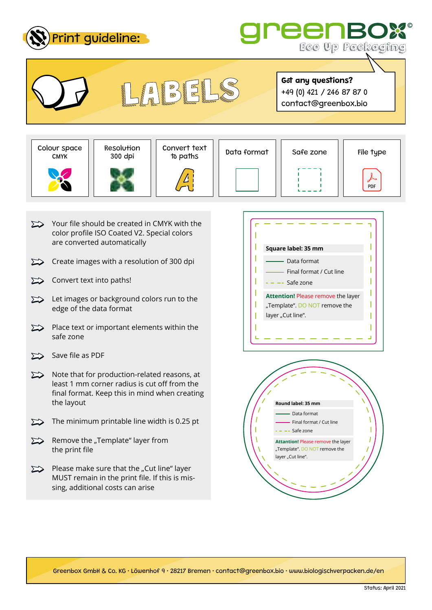



**Got any questions?**







Colour space || Resolution || Convert text || Data format || Safe zone || File type<br>CMYK || 300 dpi || to paths || Data format || Safe zone || File type

Got any questions?<br>
+49 (0) 421 / 246 87 87 0<br>
contact@greenbox.bio



- $\sum$  Your file should be created in CMYK with the color profile ISO Coated V2. Special colors are converted automatically
- Create images with a resolution of 300 dpi  $\sum$
- $\sum$ Convert text into paths!
- $\sum$  Let images or background colors run to the edge of the data format
- $\sum$  Place text or important elements within the safe zone
- $\Sigma$  Save file as PDF
- $\sum$  Note that for production-related reasons, at least 1 mm corner radius is cut off from the final format. Keep this in mind when creating the layout
- $\sum$  The minimum printable line width is 0.25 pt
- $\sum$  Remove the "Template" layer from the print file
- $\sum$  Please make sure that the "Cut line" layer MUST remain in the print file. If this is missing, additional costs can arise





Greenbox GmbH & Co. KG • Löwenhof 9 • 28217 Bremen • contact@greenbox.bio • www.biologischverpacken.de/en